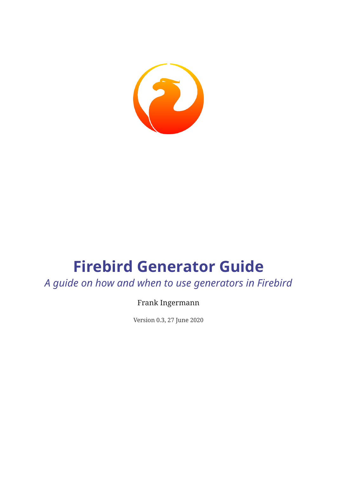

# **Firebird Generator Guide**

*A guide on how and when to use generators in Firebird*

Frank Ingermann

Version 0.3, 27 June 2020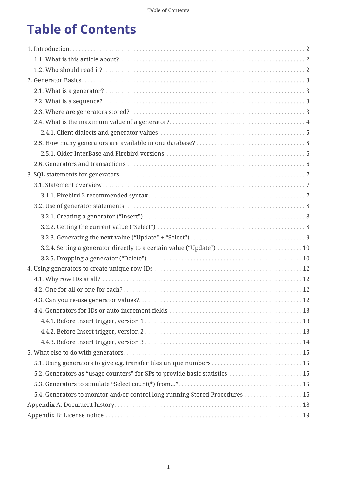# **Table of Contents**

| 3.2.4. Setting a generator directly to a certain value ("Update")  10       |  |
|-----------------------------------------------------------------------------|--|
|                                                                             |  |
|                                                                             |  |
|                                                                             |  |
|                                                                             |  |
|                                                                             |  |
|                                                                             |  |
|                                                                             |  |
|                                                                             |  |
|                                                                             |  |
|                                                                             |  |
| 5.1. Using generators to give e.g. transfer files unique numbers  15        |  |
| 5.2. Generators as "usage counters" for SPs to provide basic statistics  15 |  |
|                                                                             |  |
| 5.4. Generators to monitor and/or control long-running Stored Procedures 16 |  |
|                                                                             |  |
|                                                                             |  |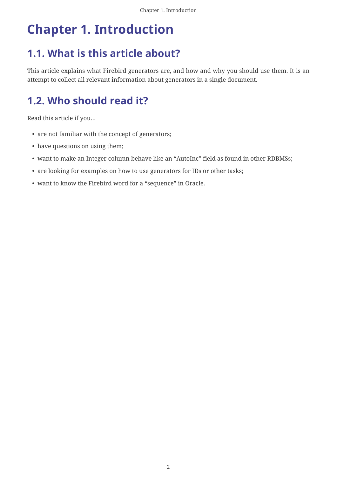# <span id="page-2-0"></span>**Chapter 1. Introduction**

## <span id="page-2-1"></span>**1.1. What is this article about?**

This article explains what Firebird generators are, and how and why you should use them. It is an attempt to collect all relevant information about generators in a single document.

# <span id="page-2-2"></span>**1.2. Who should read it?**

Read this article if you…

- are not familiar with the concept of generators;
- have questions on using them;
- want to make an Integer column behave like an "AutoInc" field as found in other RDBMSs;
- are looking for examples on how to use generators for IDs or other tasks;
- want to know the Firebird word for a "sequence" in Oracle.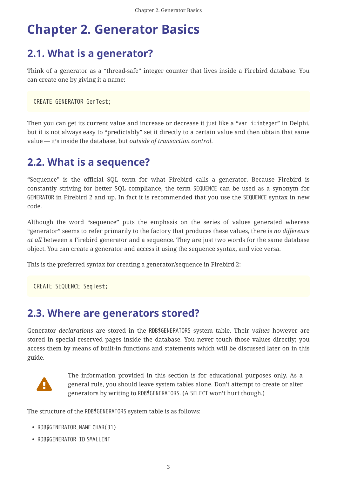# <span id="page-3-0"></span>**Chapter 2. Generator Basics**

## <span id="page-3-1"></span>**2.1. What is a generator?**

Think of a generator as a "thread-safe" integer counter that lives inside a Firebird database. You can create one by giving it a name:

CREATE GENERATOR GenTest;

Then you can get its current value and increase or decrease it just like a "var i:integer" in Delphi, but it is not always easy to "predictably" set it directly to a certain value and then obtain that same value — it's inside the database, but *outside of transaction control*.

### <span id="page-3-2"></span>**2.2. What is a sequence?**

"Sequence" is the official SQL term for what Firebird calls a generator. Because Firebird is constantly striving for better SQL compliance, the term SEQUENCE can be used as a synonym for GENERATOR in Firebird 2 and up. In fact it is recommended that you use the SEQUENCE syntax in new code.

Although the word "sequence" puts the emphasis on the series of values generated whereas "generator" seems to refer primarily to the factory that produces these values, there is *no difference at all* between a Firebird generator and a sequence. They are just two words for the same database object. You can create a generator and access it using the sequence syntax, and vice versa.

This is the preferred syntax for creating a generator/sequence in Firebird 2:

CREATE SEQUENCE SeqTest;

### <span id="page-3-3"></span>**2.3. Where are generators stored?**

Generator *declarations* are stored in the RDB\$GENERATORS system table. Their *values* however are stored in special reserved pages inside the database. You never touch those values directly; you access them by means of built-in functions and statements which will be discussed later on in this guide.



The information provided in this section is for educational purposes only. As a general rule, you should leave system tables alone. Don't attempt to create or alter generators by writing to RDB\$GENERATORS. (A SELECT won't hurt though.)

The structure of the RDB\$GENERATORS system table is as follows:

- RDB\$GENERATOR\_NAME CHAR(31)
- RDB\$GENERATOR\_ID SMALLINT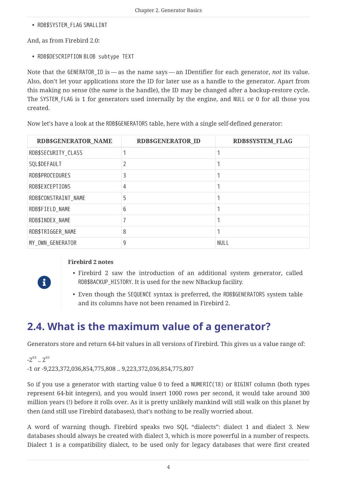• RDB\$SYSTEM\_FLAG SMALLINT

And, as from Firebird 2.0:

• RDB\$DESCRIPTION BLOB subtype TEXT

Note that the GENERATOR\_ID is — as the name says — an IDentifier for each generator, *not* its value. Also, don't let your applications store the ID for later use as a handle to the generator. Apart from this making no sense (the *name* is the handle), the ID may be changed after a backup-restore cycle. The SYSTEM FLAG is 1 for generators used internally by the engine, and NULL or 0 for all those you created.

Now let's have a look at the RDB\$GENERATORS table, here with a single self-defined generator:

| <b>RDB\$GENERATOR_NAME</b> | <b>RDB\$GENERATOR ID</b> | <b>RDB\$SYSTEM FLAG</b> |
|----------------------------|--------------------------|-------------------------|
| RDB\$SECURITY_CLASS        |                          |                         |
| SQL\$DEFAULT               |                          |                         |
| RDB\$PROCEDURES            | 3                        |                         |
| RDB\$EXCEPTIONS            | 4                        |                         |
| RDB\$CONSTRAINT_NAME       | 5                        |                         |
| RDB\$FIELD_NAME            | 6                        |                         |
| RDB\$INDEX_NAME            |                          |                         |
| RDB\$TRIGGER_NAME          | 8                        |                         |
| MY_OWN_GENERATOR           | 9                        | <b>NULL</b>             |

#### **Firebird 2 notes**

 $\mathbf{i}$ 

- Firebird 2 saw the introduction of an additional system generator, called RDB\$BACKUP\_HISTORY. It is used for the new NBackup facility.
- Even though the SEQUENCE syntax is preferred, the RDB\$GENERATORS system table and its columns have not been renamed in Firebird 2.

## <span id="page-4-0"></span>**2.4. What is the maximum value of a generator?**

Generators store and return 64-bit values in all versions of Firebird. This gives us a value range of:

 $-2^{63}$  ..  $2^{63}$ -1 or -9,223,372,036,854,775,808 .. 9,223,372,036,854,775,807

So if you use a generator with starting value 0 to feed a NUMERIC(18) or BIGINT column (both types represent 64-bit integers), and you would insert 1000 rows per second, it would take around 300 million years (!) before it rolls over. As it is pretty unlikely mankind will still walk on this planet by then (and still use Firebird databases), that's nothing to be really worried about.

A word of warning though. Firebird speaks two SQL "dialects": dialect 1 and dialect 3. New databases should always be created with dialect 3, which is more powerful in a number of respects. Dialect 1 is a compatibility dialect, to be used only for legacy databases that were first created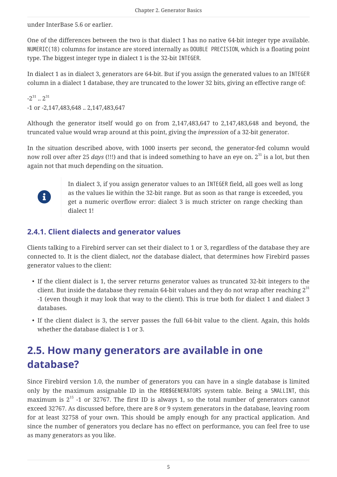under InterBase 5.6 or earlier.

One of the differences between the two is that dialect 1 has no native 64-bit integer type available. NUMERIC(18) columns for instance are stored internally as DOUBLE PRECISION, which is a floating point type. The biggest integer type in dialect 1 is the 32-bit INTEGER.

In dialect 1 as in dialect 3, generators are 64-bit. But if you assign the generated values to an INTEGER column in a dialect 1 database, they are truncated to the lower 32 bits, giving an effective range of:

 $-2^{31}$   $2^{31}$ -1 or -2,147,483,648 .. 2,147,483,647

Although the generator itself would go on from 2,147,483,647 to 2,147,483,648 and beyond, the truncated value would wrap around at this point, giving the *impression* of a 32-bit generator.

In the situation described above, with 1000 inserts per second, the generator-fed column would now roll over after 25 *days* (!!!) and that is indeed something to have an eye on. 2<sup>31</sup> is a lot, but then again not that much depending on the situation.



In dialect 3, if you assign generator values to an INTEGER field, all goes well as long as the values lie within the 32-bit range. But as soon as that range is exceeded, you get a numeric overflow error: dialect 3 is much stricter on range checking than dialect 1!

### <span id="page-5-0"></span>**2.4.1. Client dialects and generator values**

Clients talking to a Firebird server can set their dialect to 1 or 3, regardless of the database they are connected to. It is the client dialect, *not* the database dialect, that determines how Firebird passes generator values to the client:

- If the client dialect is 1, the server returns generator values as truncated 32-bit integers to the client. But inside the database they remain 64-bit values and they do not wrap after reaching  $2^{31}$ -1 (even though it may look that way to the client). This is true both for dialect 1 and dialect 3 databases.
- If the client dialect is 3, the server passes the full 64-bit value to the client. Again, this holds whether the database dialect is 1 or 3.

## <span id="page-5-1"></span>**2.5. How many generators are available in one database?**

Since Firebird version 1.0, the number of generators you can have in a single database is limited only by the maximum assignable ID in the RDB\$GENERATORS system table. Being a SMALLINT, this maximum is  $2^{15}$  -1 or 32767. The first ID is always 1, so the total number of generators cannot exceed 32767. As discussed before, there are 8 or 9 system generators in the database, leaving room for at least 32758 of your own. This should be amply enough for any practical application. And since the number of generators you declare has no effect on performance, you can feel free to use as many generators as you like.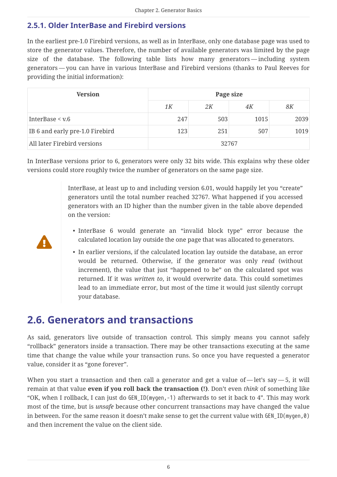### <span id="page-6-0"></span>**2.5.1. Older InterBase and Firebird versions**

In the earliest pre-1.0 Firebird versions, as well as in InterBase, only one database page was used to store the generator values. Therefore, the number of available generators was limited by the page size of the database. The following table lists how many generators — including system generators — you can have in various InterBase and Firebird versions (thanks to Paul Reeves for providing the initial information):

| <b>Version</b>                  | Page size |     |      |      |
|---------------------------------|-----------|-----|------|------|
|                                 | 1 K       | 2K  | 4K   | 8K   |
| InterBase $\leq v.6$            | 247       | 503 | 1015 | 2039 |
| IB 6 and early pre-1.0 Firebird | 123       | 251 | 507  | 1019 |
| All later Firebird versions     | 32767     |     |      |      |

In InterBase versions prior to 6, generators were only 32 bits wide. This explains why these older versions could store roughly twice the number of generators on the same page size.

> InterBase, at least up to and including version 6.01, would happily let you "create" generators until the total number reached 32767. What happened if you accessed generators with an ID higher than the number given in the table above depended on the version:

- Д
- InterBase 6 would generate an "invalid block type" error because the calculated location lay outside the one page that was allocated to generators.
- In earlier versions, if the calculated location lay outside the database, an error would be returned. Otherwise, if the generator was only *read* (without increment), the value that just "happened to be" on the calculated spot was returned. If it was *written to*, it would overwrite data. This could sometimes lead to an immediate error, but most of the time it would just silently corrupt your database.

### <span id="page-6-1"></span>**2.6. Generators and transactions**

As said, generators live outside of transaction control. This simply means you cannot safely "rollback" generators inside a transaction. There may be other transactions executing at the same time that change the value while your transaction runs. So once you have requested a generator value, consider it as "gone forever".

When you start a transaction and then call a generator and get a value of  $-\text{let's say } -5$ , it will remain at that value **even if you roll back the transaction (!)**. Don't even *think* of something like "OK, when I rollback, I can just do GEN\_ID(mygen,-1) afterwards to set it back to 4". This may work most of the time, but is *unsafe* because other concurrent transactions may have changed the value in between. For the same reason it doesn't make sense to get the current value with GEN\_ID(mygen,0) and then increment the value on the client side.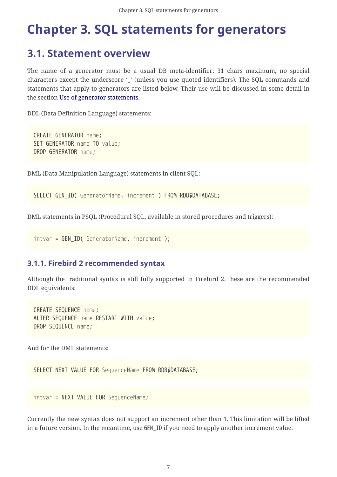# <span id="page-7-0"></span>**Chapter 3. SQL statements for generators**

### <span id="page-7-1"></span>**3.1. Statement overview**

The name of a generator must be a usual DB meta-identifier: 31 chars maximum, no special characters except the underscore '\_' (unless you use quoted identifiers). The SQL commands and statements that apply to generators are listed below. Their use will be discussed in some detail in the section [Use of generator statements](#page-8-0).

DDL (Data Definition Language) statements:

CREATE GENERATOR *name*; SET GENERATOR *name* TO *value*; DROP GENERATOR *name*;

DML (Data Manipulation Language) statements in client SQL:

SELECT GEN\_ID( *GeneratorName*, *increment* ) FROM RDB\$DATABASE;

DML statements in PSQL (Procedural SQL, available in stored procedures and triggers):

```
intvar = GEN_ID( GeneratorName, increment );
```
### <span id="page-7-2"></span>**3.1.1. Firebird 2 recommended syntax**

Although the traditional syntax is still fully supported in Firebird 2, these are the recommended DDL equivalents:

CREATE SEQUENCE *name*; ALTER SEQUENCE *name* RESTART WITH *value*; DROP SEQUENCE *name*;

And for the DML statements:

SELECT NEXT VALUE FOR *SequenceName* FROM RDB\$DATABASE;

*intvar* = NEXT VALUE FOR *SequenceName*;

Currently the new syntax does not support an increment other than 1. This limitation will be lifted in a future version. In the meantime, use GEN\_ID if you need to apply another increment value.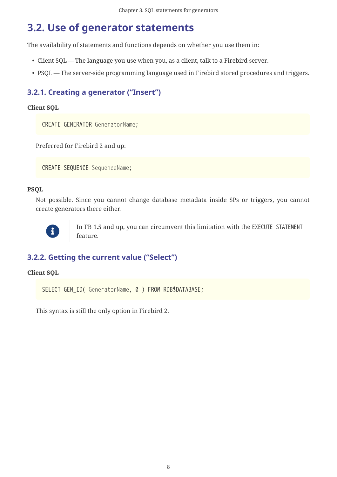## <span id="page-8-0"></span>**3.2. Use of generator statements**

The availability of statements and functions depends on whether you use them in:

- Client SQL The language you use when you, as a client, talk to a Firebird server.
- PSQL The server-side programming language used in Firebird stored procedures and triggers.

### <span id="page-8-1"></span>**3.2.1. Creating a generator ("Insert")**

#### **Client SQL**

CREATE GENERATOR *GeneratorName*;

Preferred for Firebird 2 and up:

CREATE SEQUENCE *SequenceName*;

#### **PSQL**

Not possible. Since you cannot change database metadata inside SPs or triggers, you cannot create generators there either.



In FB 1.5 and up, you can circumvent this limitation with the EXECUTE STATEMENT feature.

### <span id="page-8-2"></span>**3.2.2. Getting the current value ("Select")**

#### **Client SQL**

SELECT GEN\_ID( *GeneratorName*, 0 ) FROM RDB\$DATABASE;

This syntax is still the only option in Firebird 2.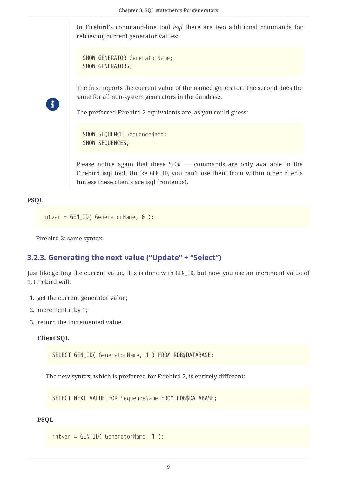In Firebird's command-line tool *isql* there are two additional commands for retrieving current generator values:

```
SHOW GENERATOR GeneratorName;
SHOW GENERATORS;
```
 $\mathbf{r}$ 

The first reports the current value of the named generator. The second does the same for all non-system generators in the database.

The preferred Firebird 2 equivalents are, as you could guess:

```
SHOW SEQUENCE SequenceName;
SHOW SEQUENCES;
```
Please notice again that these SHOW … commands are only available in the Firebird isql tool. Unlike GEN\_ID, you can't use them from within other clients (unless these clients are isql frontends).

#### **PSQL**

```
intvar = GEN_ID( GeneratorName, 0 );
```
Firebird 2: same syntax.

#### <span id="page-9-0"></span>**3.2.3. Generating the next value ("Update" + "Select")**

Just like getting the current value, this is done with GEN\_ID, but now you use an increment value of 1. Firebird will:

- 1. get the current generator value;
- 2. increment it by 1;
- 3. return the incremented value.

#### **Client SQL**

SELECT GEN\_ID( *GeneratorName*, 1 ) FROM RDB\$DATABASE;

The new syntax, which is preferred for Firebird 2, is entirely different:

SELECT NEXT VALUE FOR *SequenceName* FROM RDB\$DATABASE;

#### **PSQL**

```
intvar = GEN_ID( GeneratorName, 1 );
```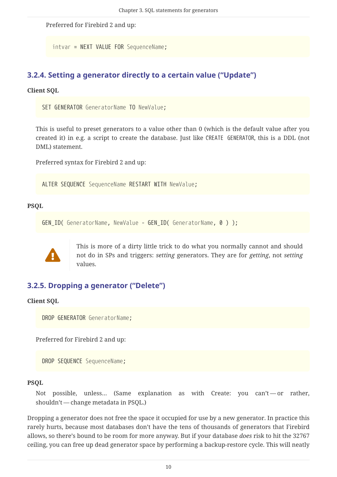Preferred for Firebird 2 and up:

*intvar* = NEXT VALUE FOR *SequenceName*;

### <span id="page-10-0"></span>**3.2.4. Setting a generator directly to a certain value ("Update")**

#### **Client SQL**

SET GENERATOR *GeneratorName* TO *NewValue*;

This is useful to preset generators to a value other than 0 (which is the default value after you created it) in e.g. a script to create the database. Just like CREATE GENERATOR, this is a DDL (not DML) statement.

Preferred syntax for Firebird 2 and up:

ALTER SEQUENCE *SequenceName* RESTART WITH *NewValue*;

#### **PSQL**

GEN\_ID( *GeneratorName*, *NewValue* - GEN\_ID( *GeneratorName*, 0 ) );



This is more of a dirty little trick to do what you normally cannot and should not do in SPs and triggers: *setting* generators. They are for *getting*, not *setting* values.

### <span id="page-10-1"></span>**3.2.5. Dropping a generator ("Delete")**

#### **Client SQL**

DROP GENERATOR *GeneratorName*;

Preferred for Firebird 2 and up:

DROP SEQUENCE *SequenceName*;

#### **PSQL**

Not possible, unless... (Same explanation as with Create: you can't - or rather, shouldn't — change metadata in PSQL.)

Dropping a generator does not free the space it occupied for use by a new generator. In practice this rarely hurts, because most databases don't have the tens of thousands of generators that Firebird allows, so there's bound to be room for more anyway. But if your database *does* risk to hit the 32767 ceiling, you can free up dead generator space by performing a backup-restore cycle. This will neatly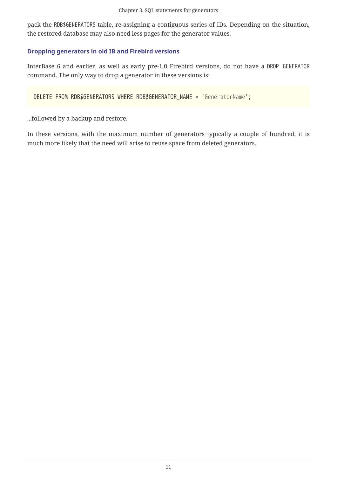pack the RDB\$GENERATORS table, re-assigning a contiguous series of IDs. Depending on the situation, the restored database may also need less pages for the generator values.

#### **Dropping generators in old IB and Firebird versions**

InterBase 6 and earlier, as well as early pre-1.0 Firebird versions, do not have a DROP GENERATOR command. The only way to drop a generator in these versions is:

DELETE FROM RDB\$GENERATORS WHERE RDB\$GENERATOR\_NAME = '*GeneratorName*';

...followed by a backup and restore.

In these versions, with the maximum number of generators typically a couple of hundred, it is much more likely that the need will arise to reuse space from deleted generators.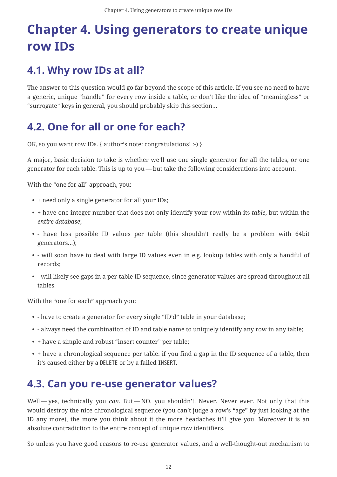# <span id="page-12-0"></span>**Chapter 4. Using generators to create unique row IDs**

## <span id="page-12-1"></span>**4.1. Why row IDs at all?**

The answer to this question would go far beyond the scope of this article. If you see no need to have a generic, unique "handle" for every row inside a table, or don't like the idea of "meaningless" or "surrogate" keys in general, you should probably skip this section…

## <span id="page-12-2"></span>**4.2. One for all or one for each?**

OK, so you want row IDs. { author's note: congratulations! :-) }

A major, basic decision to take is whether we'll use one single generator for all the tables, or one generator for each table. This is up to you — but take the following considerations into account.

With the "one for all" approach, you:

- + need only a single generator for all your IDs;
- + have one integer number that does not only identify your row within its *table*, but within the *entire database*;
- - have less possible ID values per table (this shouldn't really be a problem with 64bit generators…);
- - will soon have to deal with large ID values even in e.g. lookup tables with only a handful of records;
- - will likely see gaps in a per-table ID sequence, since generator values are spread throughout all tables.

With the "one for each" approach you:

- - have to create a generator for every single "ID'd" table in your database;
- - always need the combination of ID and table name to uniquely identify any row in any table;
- + have a simple and robust "insert counter" per table;
- + have a chronological sequence per table: if you find a gap in the ID sequence of a table, then it's caused either by a DELETE or by a failed INSERT.

### <span id="page-12-3"></span>**4.3. Can you re-use generator values?**

Well-yes, technically you *can*. But-NO, you shouldn't. Never. Never ever. Not only that this would destroy the nice chronological sequence (you can't judge a row's "age" by just looking at the ID any more), the more you think about it the more headaches it'll give you. Moreover it is an absolute contradiction to the entire concept of unique row identifiers.

So unless you have good reasons to re-use generator values, and a well-thought-out mechanism to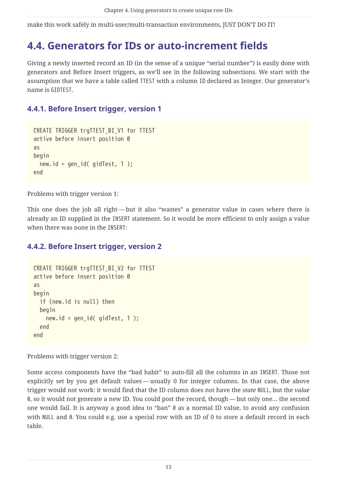make this work safely in multi-user/multi-transaction environments, JUST DON'T DO IT!

### <span id="page-13-0"></span>**4.4. Generators for IDs or auto-increment fields**

Giving a newly inserted record an ID (in the sense of a unique "serial number") is easily done with generators and Before Insert triggers, as we'll see in the following subsections. We start with the assumption that we have a table called TTEST with a column ID declared as Integer. Our generator's name is GIDTEST.

### <span id="page-13-1"></span>**4.4.1. Before Insert trigger, version 1**

```
CREATE TRIGGER trgTTEST_BI_V1 for TTEST
active before insert position 0
as
begin
 new.id = gen id( gidTest, 1 );
end
```
Problems with trigger version 1:

This one does the job all right — but it also "wastes" a generator value in cases where there is already an ID supplied in the INSERT statement. So it would be more efficient to only assign a value when there was none in the INSERT:

### <span id="page-13-2"></span>**4.4.2. Before Insert trigger, version 2**

```
CREATE TRIGGER trgTTEST_BI_V2 for TTEST
active before insert position 0
as
begin
   if (new.id is null) then
   begin
    new.id = gen_id( gidTest, 1);  end
end
```
Problems with trigger version 2:

Some access components have the "bad habit" to auto-fill all the columns in an INSERT. Those not explicitly set by you get default values — usually 0 for integer columns. In that case, the above trigger would not work: it would find that the ID column does not have the *state* NULL, but the *value* 0, so it would not generate a new ID. You could post the record, though — but only one… the second one would fail. It is anyway a good idea to "ban" 0 as a normal ID value, to avoid any confusion with NULL and 0. You could e.g. use a special row with an ID of 0 to store a default record in each table.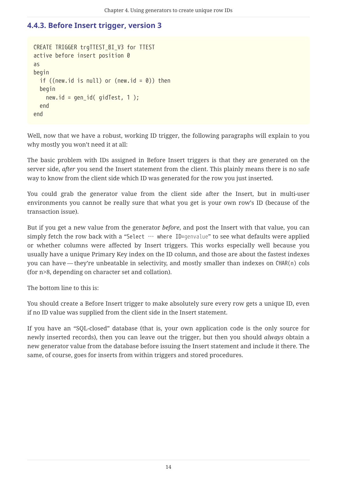### <span id="page-14-0"></span>**4.4.3. Before Insert trigger, version 3**

```
CREATE TRIGGER trgTTEST BI V3 for TTEST
active before insert position 0
as
begin
  if ((new.id is null) or (new.id = \theta)) then
   begin
    new.id = gen id( gidTest, 1 );
   end
end
```
Well, now that we have a robust, working ID trigger, the following paragraphs will explain to you why mostly you won't need it at all:

The basic problem with IDs assigned in Before Insert triggers is that they are generated on the server side, *after* you send the Insert statement from the client. This plainly means there is no safe way to know from the client side which ID was generated for the row you just inserted.

You could grab the generator value from the client side after the Insert, but in multi-user environments you cannot be really sure that what you get is your own row's ID (because of the transaction issue).

But if you get a new value from the generator *before*, and post the Insert with that value, you can simply fetch the row back with a "Select … where ID=*genvalue*" to see what defaults were applied or whether columns were affected by Insert triggers. This works especially well because you usually have a unique Primary Key index on the ID column, and those are about the fastest indexes you can have — they're unbeatable in selectivity, and mostly smaller than indexes on CHAR(n) cols (for n>8, depending on character set and collation).

The bottom line to this is:

You should create a Before Insert trigger to make absolutely sure every row gets a unique ID, even if no ID value was supplied from the client side in the Insert statement.

If you have an "SQL-closed" database (that is, your own application code is the only source for newly inserted records), then you can leave out the trigger, but then you should *always* obtain a new generator value from the database before issuing the Insert statement and include it there. The same, of course, goes for inserts from within triggers and stored procedures.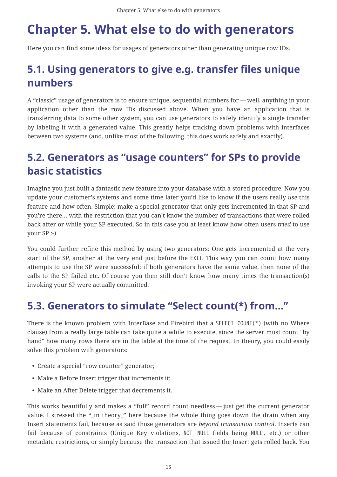# <span id="page-15-0"></span>**Chapter 5. What else to do with generators**

Here you can find some ideas for usages of generators other than generating unique row IDs.

# <span id="page-15-1"></span>**5.1. Using generators to give e.g. transfer files unique numbers**

A "classic" usage of generators is to ensure unique, sequential numbers for — well, anything in your application other than the row IDs discussed above. When you have an application that is transferring data to some other system, you can use generators to safely identify a single transfer by labeling it with a generated value. This greatly helps tracking down problems with interfaces between two systems (and, unlike most of the following, this does work safely and exactly).

## <span id="page-15-2"></span>**5.2. Generators as "usage counters" for SPs to provide basic statistics**

Imagine you just built a fantastic new feature into your database with a stored procedure. Now you update your customer's systems and some time later you'd like to know if the users really *use* this feature and how often. Simple: make a special generator that only gets incremented in that SP and you're there… with the restriction that you can't know the number of transactions that were rolled back after or while your SP executed. So in this case you at least know how often users *tried* to use your SP :-)

You could further refine this method by using two generators: One gets incremented at the very start of the SP, another at the very end just before the EXIT. This way you can count how many attempts to use the SP were successful: if both generators have the same value, then none of the calls to the SP failed etc. Of course you then still don't know how many times the transaction(s) invoking your SP were actually committed.

## <span id="page-15-3"></span>**5.3. Generators to simulate "Select count(\*) from…"**

There is the known problem with InterBase and Firebird that a SELECT COUNT(\*) (with no Where clause) from a really large table can take quite a while to execute, since the server must count "by hand" how many rows there are in the table at the time of the request. In theory, you could easily solve this problem with generators:

- Create a special "row counter" generator;
- Make a Before Insert trigger that increments it;
- Make an After Delete trigger that decrements it.

This works beautifully and makes a "full" record count needless — just get the current generator value. I stressed the "\_in theory\_" here because the whole thing goes down the drain when any Insert statements fail, because as said those generators are *beyond transaction control*. Inserts can fail because of constraints (Unique Key violations, NOT NULL fields being NULL, etc.) or other metadata restrictions, or simply because the transaction that issued the Insert gets rolled back. You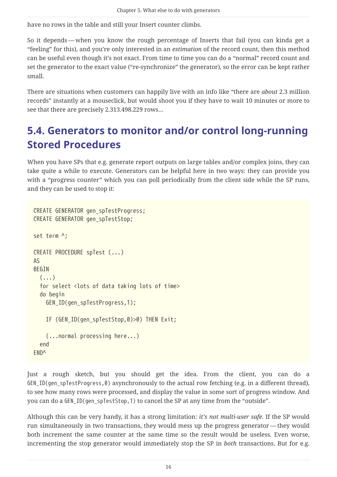have no rows in the table and still your Insert counter climbs.

So it depends — when you know the rough percentage of Inserts that fail (you can kinda get a "feeling" for this), and you're only interested in an *estimation* of the record count, then this method can be useful even though it's not exact. From time to time you can do a "normal" record count and set the generator to the exact value ("re-synchronize" the generator), so the error can be kept rather small.

There are situations when customers can happily live with an info like "there are *about* 2.3 million records" instantly at a mouseclick, but would shoot you if they have to wait 10 minutes or more to see that there are precisely 2.313.498.229 rows…

## <span id="page-16-0"></span>**5.4. Generators to monitor and/or control long-running Stored Procedures**

When you have SPs that e.g. generate report outputs on large tables and/or complex joins, they can take quite a while to execute. Generators can be helpful here in two ways: they can provide you with a "progress counter" which you can poll periodically from the client side while the SP runs, and they can be used to stop it:

```
CREATE GENERATOR gen_spTestProgress;
CREATE GENERATOR gen_spTestStop;
set term ^;
CREATE PROCEDURE spTest (...)
AS
BEGIN
  (...)  for select <lots of data taking lots of time>
    do begin
      GEN_ID(gen_spTestProgress,1);
      IF (GEN_ID(gen_spTestStop,0)>0) THEN Exit;
      (...normal processing here...)
    end
END^
```
Just a rough sketch, but you should get the idea. From the client, you can do a GEN\_ID(gen\_spTestProgress,0) asynchronously to the actual row fetching (e.g. in a different thread), to see how many rows were processed, and display the value in some sort of progress window. And you can do a GEN\_ID(gen\_spTestStop,1) to cancel the SP at any time from the "outside".

Although this can be very handy, it has a strong limitation: *it's not multi-user safe*. If the SP would run simultaneously in two transactions, they would mess up the progress generator — they would both increment the same counter at the same time so the result would be useless. Even worse, incrementing the stop generator would immediately stop the SP in *both* transactions. But for e.g.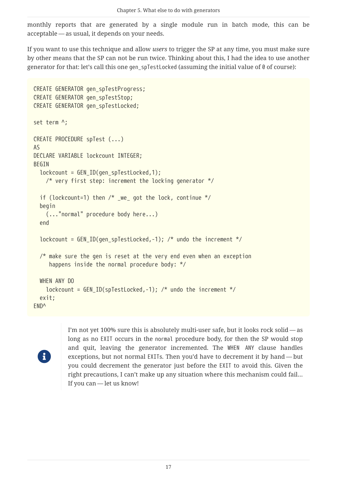monthly reports that are generated by a single module run in batch mode, this can be acceptable — as usual, it depends on your needs.

If you want to use this technique and allow *users* to trigger the SP at any time, you must make sure by other means that the SP can not be run twice. Thinking about this, I had the idea to use another generator for that: let's call this one gen spTestLocked (assuming the initial value of 0 of course):

```
CREATE GENERATOR gen_spTestProgress;
CREATE GENERATOR gen_spTestStop;
CREATE GENERATOR gen_spTestLocked;
set term ^;
CREATE PROCEDURE spTest (...)
AS
DECLARE VARIABLE lockcount INTEGER;
BEGIN
 lockcount = GENID(qen\ spTestLocked,1);  /* very first step: increment the locking generator */
  if (lockcount=1) then /* we got the lock, continue */  begin
      (..."normal" procedure body here...)
    end
    lockcount = GEN_ID(gen_spTestLocked,-1); /* undo the increment */
    /* make sure the gen is reset at the very end even when an exception
       happens inside the normal procedure body: */
   WHEN ANY DO
    lockcount = GEN_ID(spTestLocked, -1); /* undo the increment */
   exit;
END^
```


I'm not yet 100% sure this is absolutely multi-user safe, but it looks rock solid — as long as no EXIT occurs in the normal procedure body, for then the SP would stop and quit, leaving the generator incremented. The WHEN ANY clause handles exceptions, but not normal EXITs. Then you'd have to decrement it by hand — but you could decrement the generator just before the EXIT to avoid this. Given the right precautions, I can't make up any situation where this mechanism could fail… If you can — let us know!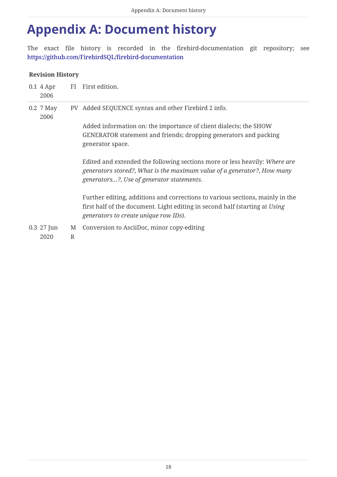# <span id="page-18-0"></span>**Appendix A: Document history**

The exact file history is recorded in the firebird-documentation git repository; see <https://github.com/FirebirdSQL/firebird-documentation>

#### **Revision History**

| $0.1$ 4 Apr<br>2006  |        | FI First edition.                                                                                                                                                                                     |
|----------------------|--------|-------------------------------------------------------------------------------------------------------------------------------------------------------------------------------------------------------|
| 0.2 7 May<br>2006    |        | PV Added SEQUENCE syntax and other Firebird 2 info.                                                                                                                                                   |
|                      |        | Added information on: the importance of client dialects; the SHOW<br>GENERATOR statement and friends; dropping generators and packing<br>generator space.                                             |
|                      |        | Edited and extended the following sections more or less heavily: Where are<br>generators stored?, What is the maximum value of a generator?, How many<br>generators?, Use of generator statements.    |
|                      |        | Further editing, additions and corrections to various sections, mainly in the<br>first half of the document. Light editing in second half (starting at Using<br>generators to create unique row IDs). |
| $0.3$ 27 Jun<br>2020 | M<br>R | Conversion to AsciiDoc, minor copy-editing                                                                                                                                                            |